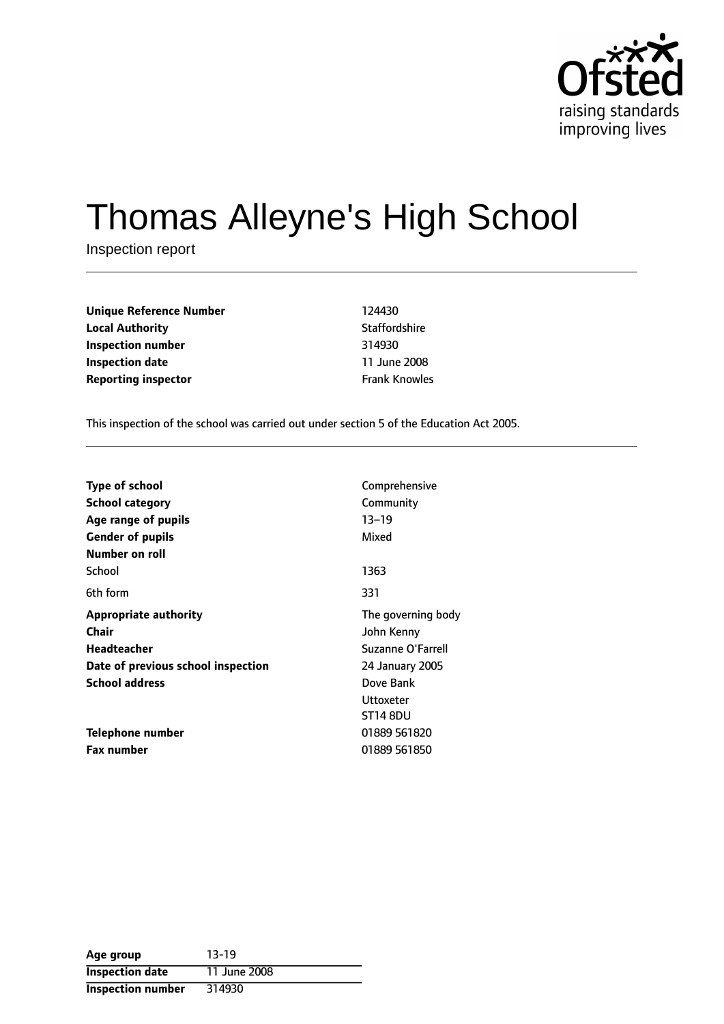

# Thomas Alleyne's High School

Inspection report

| <b>Unique Reference Number</b> | 124430               |
|--------------------------------|----------------------|
| <b>Local Authority</b>         | Staffordshire        |
| Inspection number              | 314930               |
| <b>Inspection date</b>         | 11 June 2008         |
| <b>Reporting inspector</b>     | <b>Frank Knowles</b> |

This inspection of the school was carried out under section 5 of the Education Act 2005.

| <b>Type of school</b>              | Comprehensive      |
|------------------------------------|--------------------|
| School category                    | Community          |
| Age range of pupils                | $13 - 19$          |
| <b>Gender of pupils</b>            | Mixed              |
| Number on roll                     |                    |
| School                             | 1363               |
| 6th form                           | 331                |
| <b>Appropriate authority</b>       | The governing body |
| Chair                              | John Kenny         |
| <b>Headteacher</b>                 | Suzanne O'Farrell  |
| Date of previous school inspection | 24 January 2005    |
| <b>School address</b><br>Dove Bank |                    |
|                                    | Uttoxeter          |
|                                    | <b>ST14 8DU</b>    |
| Telephone number                   | 01889 561820       |
| <b>Fax number</b>                  | 01889 561850       |

| Age group              | $13-19$      |
|------------------------|--------------|
| <b>Inspection date</b> | 11 June 2008 |
| Inspection number      | 314930       |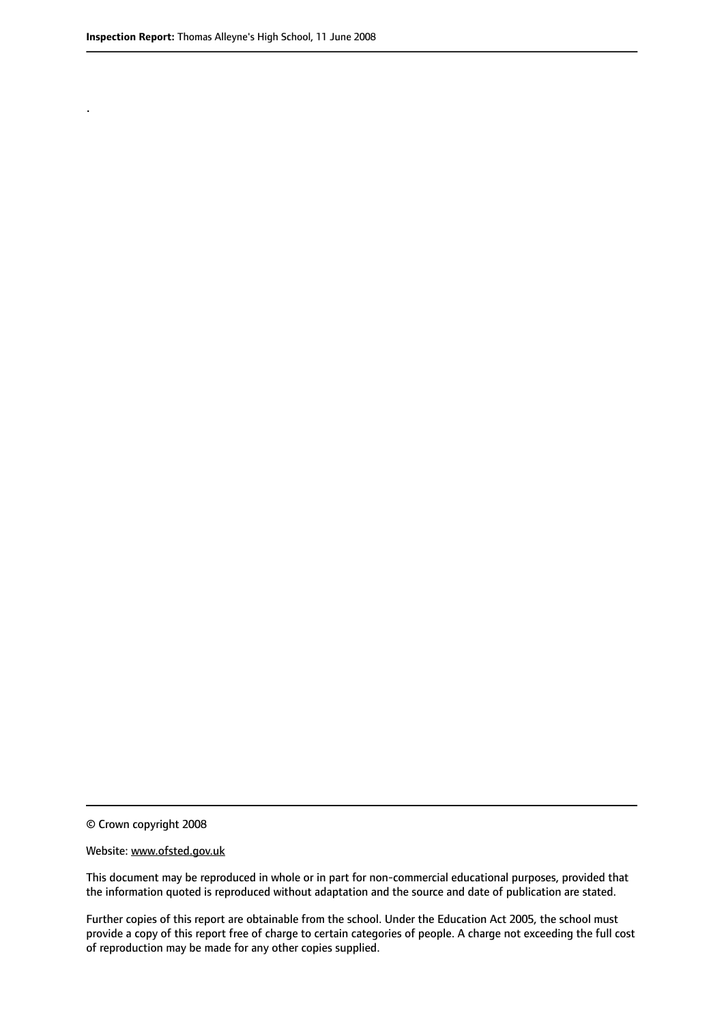.

© Crown copyright 2008

#### Website: www.ofsted.gov.uk

This document may be reproduced in whole or in part for non-commercial educational purposes, provided that the information quoted is reproduced without adaptation and the source and date of publication are stated.

Further copies of this report are obtainable from the school. Under the Education Act 2005, the school must provide a copy of this report free of charge to certain categories of people. A charge not exceeding the full cost of reproduction may be made for any other copies supplied.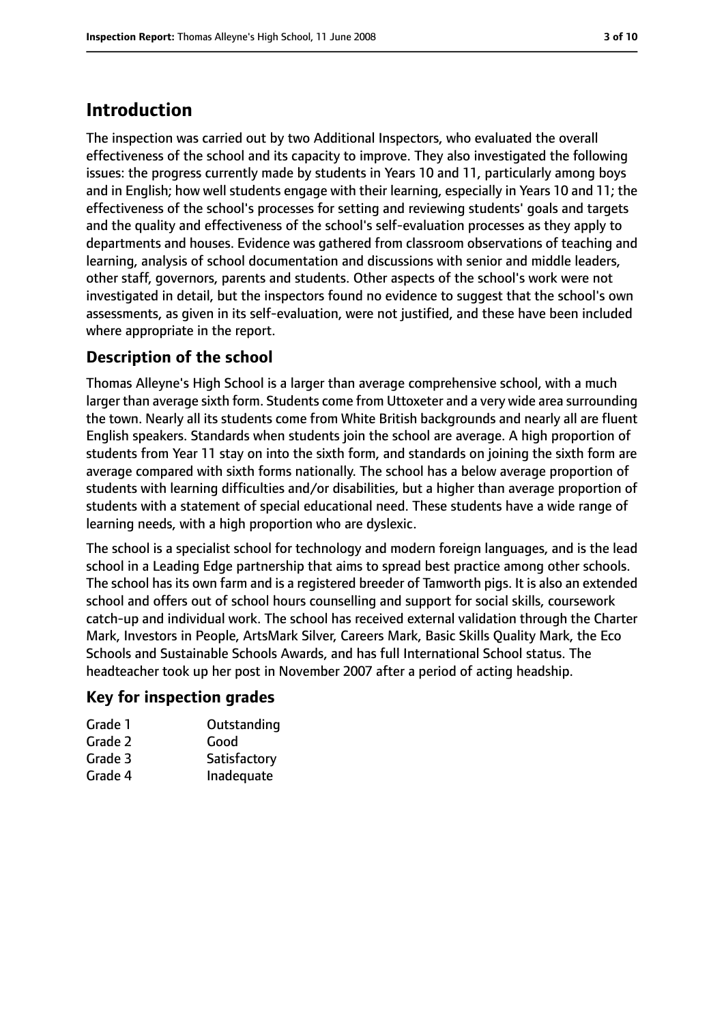# **Introduction**

The inspection was carried out by two Additional Inspectors, who evaluated the overall effectiveness of the school and its capacity to improve. They also investigated the following issues: the progress currently made by students in Years 10 and 11, particularly among boys and in English; how well students engage with their learning, especially in Years 10 and 11; the effectiveness of the school's processes for setting and reviewing students' goals and targets and the quality and effectiveness of the school's self-evaluation processes as they apply to departments and houses. Evidence was gathered from classroom observations of teaching and learning, analysis of school documentation and discussions with senior and middle leaders, other staff, governors, parents and students. Other aspects of the school's work were not investigated in detail, but the inspectors found no evidence to suggest that the school's own assessments, as given in its self-evaluation, were not justified, and these have been included where appropriate in the report.

### **Description of the school**

Thomas Alleyne's High School is a larger than average comprehensive school, with a much larger than average sixth form. Students come from Uttoxeter and a very wide area surrounding the town. Nearly all its students come from White British backgrounds and nearly all are fluent English speakers. Standards when students join the school are average. A high proportion of students from Year 11 stay on into the sixth form, and standards on joining the sixth form are average compared with sixth forms nationally. The school has a below average proportion of students with learning difficulties and/or disabilities, but a higher than average proportion of students with a statement of special educational need. These students have a wide range of learning needs, with a high proportion who are dyslexic.

The school is a specialist school for technology and modern foreign languages, and is the lead school in a Leading Edge partnership that aims to spread best practice among other schools. The school has its own farm and is a registered breeder of Tamworth pigs. It is also an extended school and offers out of school hours counselling and support for social skills, coursework catch-up and individual work. The school has received external validation through the Charter Mark, Investors in People, ArtsMark Silver, Careers Mark, Basic Skills Quality Mark, the Eco Schools and Sustainable Schools Awards, and has full International School status. The headteacher took up her post in November 2007 after a period of acting headship.

### **Key for inspection grades**

| Outstanding  |
|--------------|
| Good         |
| Satisfactory |
| Inadequate   |
|              |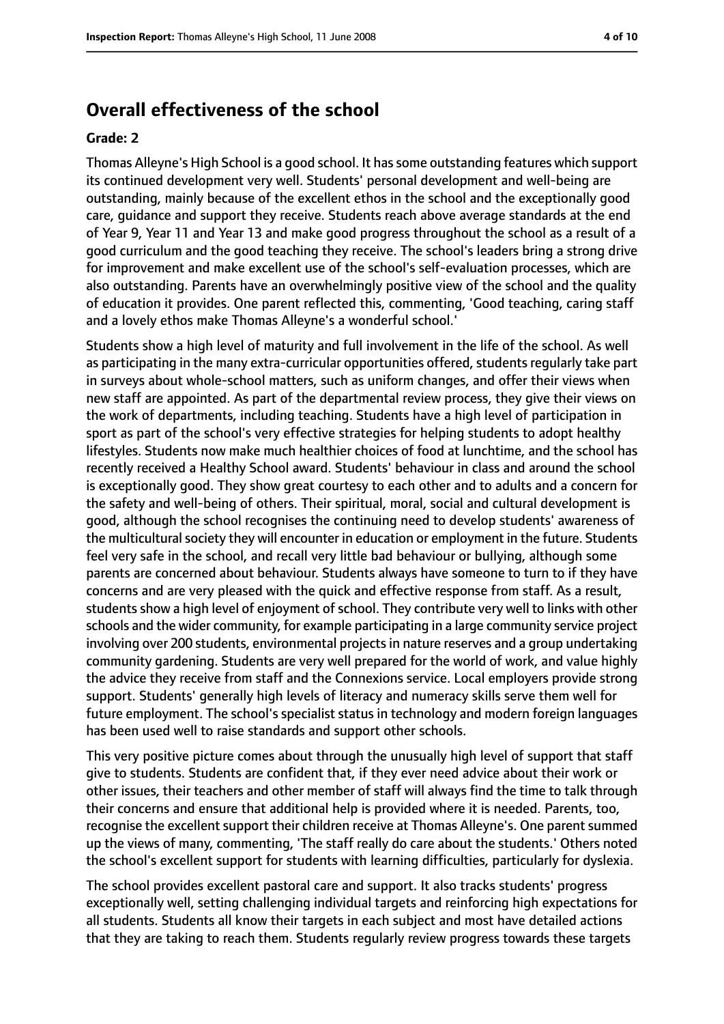### **Overall effectiveness of the school**

### **Grade: 2**

Thomas Alleyne's High School is a good school. It hassome outstanding features which support its continued development very well. Students' personal development and well-being are outstanding, mainly because of the excellent ethos in the school and the exceptionally good care, guidance and support they receive. Students reach above average standards at the end of Year 9, Year 11 and Year 13 and make good progress throughout the school as a result of a good curriculum and the good teaching they receive. The school's leaders bring a strong drive for improvement and make excellent use of the school's self-evaluation processes, which are also outstanding. Parents have an overwhelmingly positive view of the school and the quality of education it provides. One parent reflected this, commenting, 'Good teaching, caring staff and a lovely ethos make Thomas Alleyne's a wonderful school.'

Students show a high level of maturity and full involvement in the life of the school. As well as participating in the many extra-curricular opportunities offered, students regularly take part in surveys about whole-school matters, such as uniform changes, and offer their views when new staff are appointed. As part of the departmental review process, they give their views on the work of departments, including teaching. Students have a high level of participation in sport as part of the school's very effective strategies for helping students to adopt healthy lifestyles. Students now make much healthier choices of food at lunchtime, and the school has recently received a Healthy School award. Students' behaviour in class and around the school is exceptionally good. They show great courtesy to each other and to adults and a concern for the safety and well-being of others. Their spiritual, moral, social and cultural development is good, although the school recognises the continuing need to develop students' awareness of the multicultural society they will encounter in education or employment in the future. Students feel very safe in the school, and recall very little bad behaviour or bullying, although some parents are concerned about behaviour. Students always have someone to turn to if they have concerns and are very pleased with the quick and effective response from staff. As a result, students show a high level of enjoyment of school. They contribute very well to links with other schools and the wider community, for example participating in a large community service project involving over 200 students, environmental projects in nature reserves and a group undertaking community gardening. Students are very well prepared for the world of work, and value highly the advice they receive from staff and the Connexions service. Local employers provide strong support. Students' generally high levels of literacy and numeracy skills serve them well for future employment. The school's specialist status in technology and modern foreign languages has been used well to raise standards and support other schools.

This very positive picture comes about through the unusually high level of support that staff give to students. Students are confident that, if they ever need advice about their work or other issues, their teachers and other member of staff will always find the time to talk through their concerns and ensure that additional help is provided where it is needed. Parents, too, recognise the excellent support their children receive at Thomas Alleyne's. One parent summed up the views of many, commenting, 'The staff really do care about the students.' Others noted the school's excellent support for students with learning difficulties, particularly for dyslexia.

The school provides excellent pastoral care and support. It also tracks students' progress exceptionally well, setting challenging individual targets and reinforcing high expectations for all students. Students all know their targets in each subject and most have detailed actions that they are taking to reach them. Students regularly review progress towards these targets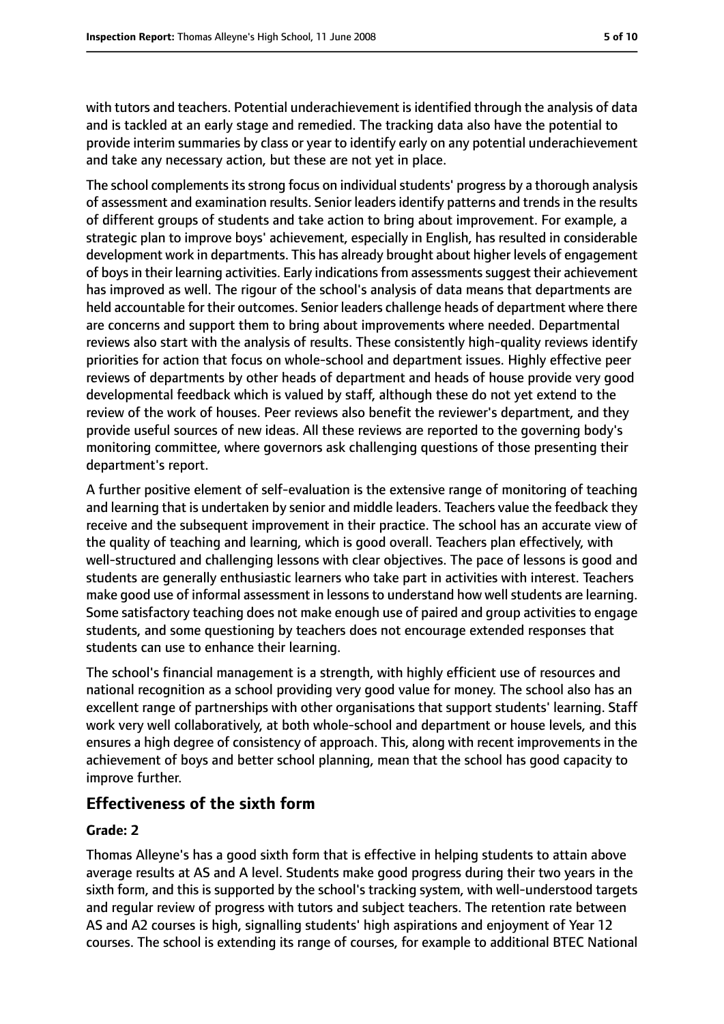with tutors and teachers. Potential underachievement is identified through the analysis of data and is tackled at an early stage and remedied. The tracking data also have the potential to provide interim summaries by class or year to identify early on any potential underachievement and take any necessary action, but these are not yet in place.

The school complements its strong focus on individual students' progress by a thorough analysis of assessment and examination results. Senior leadersidentify patterns and trendsin the results of different groups of students and take action to bring about improvement. For example, a strategic plan to improve boys' achievement, especially in English, has resulted in considerable development work in departments. This has already brought about higher levels of engagement of boys in their learning activities. Early indications from assessments suggest their achievement has improved as well. The rigour of the school's analysis of data means that departments are held accountable for their outcomes. Senior leaders challenge heads of department where there are concerns and support them to bring about improvements where needed. Departmental reviews also start with the analysis of results. These consistently high-quality reviews identify priorities for action that focus on whole-school and department issues. Highly effective peer reviews of departments by other heads of department and heads of house provide very good developmental feedback which is valued by staff, although these do not yet extend to the review of the work of houses. Peer reviews also benefit the reviewer's department, and they provide useful sources of new ideas. All these reviews are reported to the governing body's monitoring committee, where governors ask challenging questions of those presenting their department's report.

A further positive element of self-evaluation is the extensive range of monitoring of teaching and learning that is undertaken by senior and middle leaders. Teachers value the feedback they receive and the subsequent improvement in their practice. The school has an accurate view of the quality of teaching and learning, which is good overall. Teachers plan effectively, with well-structured and challenging lessons with clear objectives. The pace of lessons is good and students are generally enthusiastic learners who take part in activities with interest. Teachers make good use of informal assessment in lessons to understand how well students are learning. Some satisfactory teaching does not make enough use of paired and group activities to engage students, and some questioning by teachers does not encourage extended responses that students can use to enhance their learning.

The school's financial management is a strength, with highly efficient use of resources and national recognition as a school providing very good value for money. The school also has an excellent range of partnerships with other organisations that support students' learning. Staff work very well collaboratively, at both whole-school and department or house levels, and this ensures a high degree of consistency of approach. This, along with recent improvements in the achievement of boys and better school planning, mean that the school has good capacity to improve further.

### **Effectiveness of the sixth form**

### **Grade: 2**

Thomas Alleyne's has a good sixth form that is effective in helping students to attain above average results at AS and A level. Students make good progress during their two years in the sixth form, and this is supported by the school's tracking system, with well-understood targets and regular review of progress with tutors and subject teachers. The retention rate between AS and A2 courses is high, signalling students' high aspirations and enjoyment of Year 12 courses. The school is extending its range of courses, for example to additional BTEC National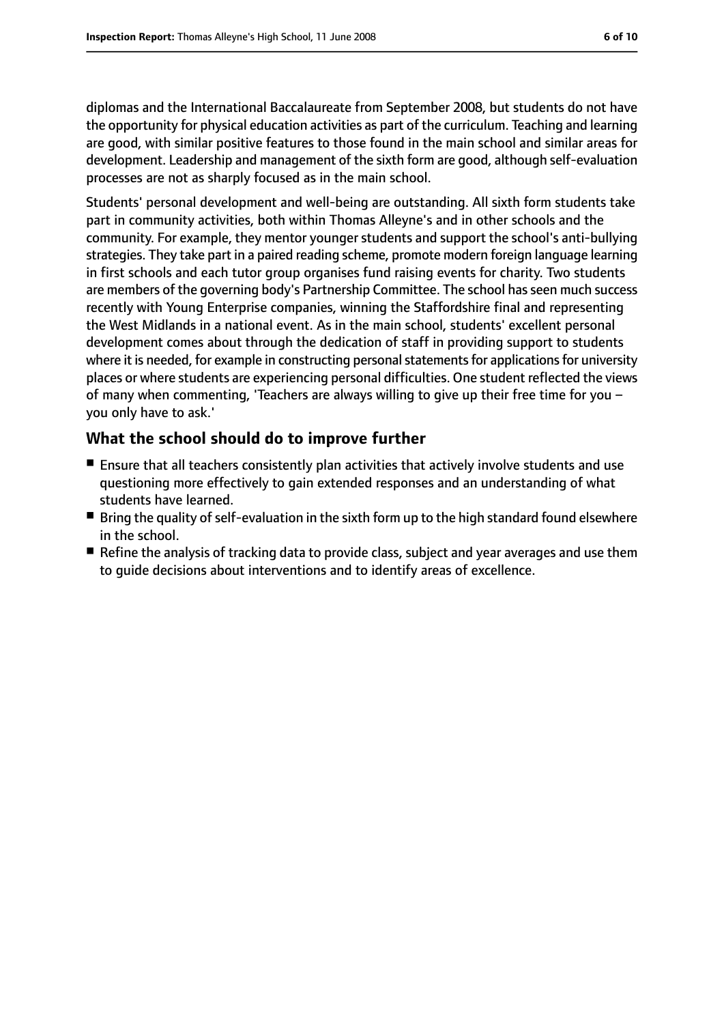diplomas and the International Baccalaureate from September 2008, but students do not have the opportunity for physical education activities as part of the curriculum. Teaching and learning are good, with similar positive features to those found in the main school and similar areas for development. Leadership and management of the sixth form are good, although self-evaluation processes are not as sharply focused as in the main school.

Students' personal development and well-being are outstanding. All sixth form students take part in community activities, both within Thomas Alleyne's and in other schools and the community. For example, they mentor younger students and support the school's anti-bullying strategies. They take part in a paired reading scheme, promote modern foreign language learning in first schools and each tutor group organises fund raising events for charity. Two students are members of the governing body's Partnership Committee. The school has seen much success recently with Young Enterprise companies, winning the Staffordshire final and representing the West Midlands in a national event. As in the main school, students' excellent personal development comes about through the dedication of staff in providing support to students where it is needed, for example in constructing personal statements for applications for university places or where students are experiencing personal difficulties. One student reflected the views of many when commenting, 'Teachers are always willing to give up their free time for you you only have to ask.'

### **What the school should do to improve further**

- Ensure that all teachers consistently plan activities that actively involve students and use questioning more effectively to gain extended responses and an understanding of what students have learned.
- Bring the quality of self-evaluation in the sixth form up to the high standard found elsewhere in the school.
- Refine the analysis of tracking data to provide class, subject and year averages and use them to guide decisions about interventions and to identify areas of excellence.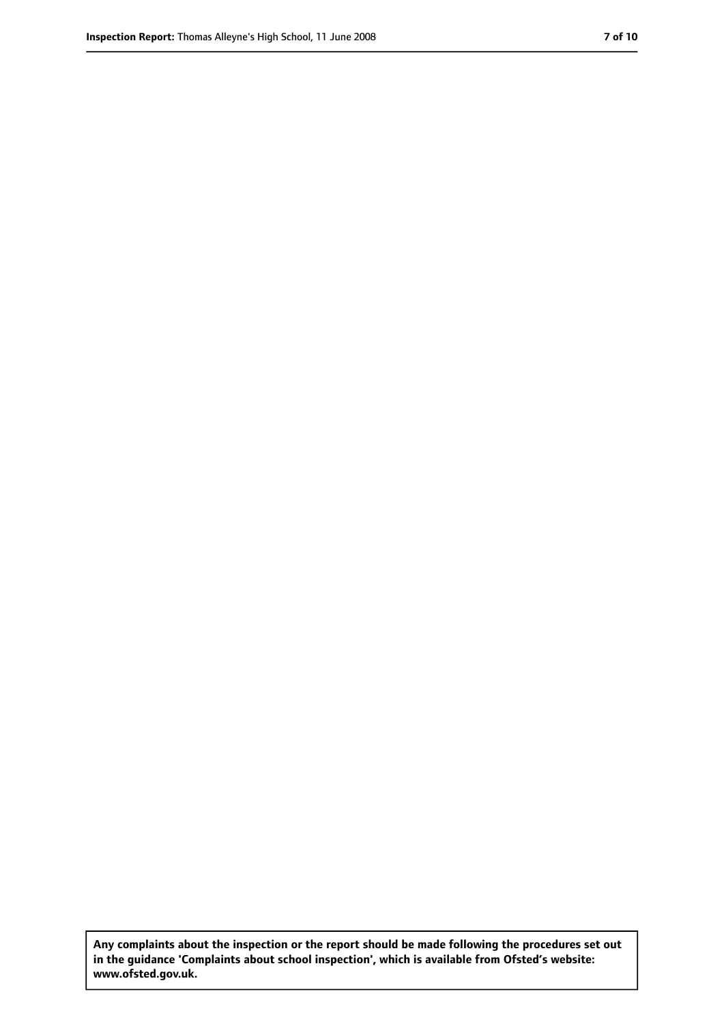**Any complaints about the inspection or the report should be made following the procedures set out in the guidance 'Complaints about school inspection', which is available from Ofsted's website: www.ofsted.gov.uk.**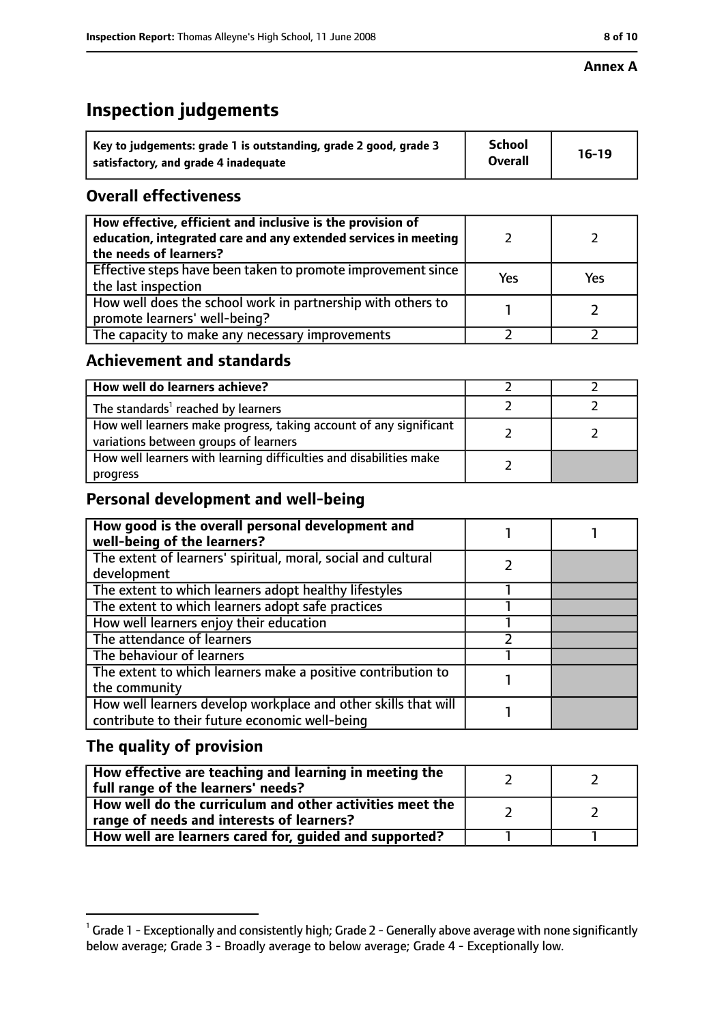# **Inspection judgements**

| Key to judgements: grade 1 is outstanding, grade 2 good, grade 3 | <b>School</b>  | $16-19$ |
|------------------------------------------------------------------|----------------|---------|
| satisfactory, and grade 4 inadequate                             | <b>Overall</b> |         |

# **Overall effectiveness**

| How effective, efficient and inclusive is the provision of<br>education, integrated care and any extended services in meeting<br>the needs of learners? |     |     |
|---------------------------------------------------------------------------------------------------------------------------------------------------------|-----|-----|
| Effective steps have been taken to promote improvement since<br>the last inspection                                                                     | Yes | Yes |
| How well does the school work in partnership with others to<br>promote learners' well-being?                                                            |     |     |
| The capacity to make any necessary improvements                                                                                                         |     |     |

# **Achievement and standards**

| How well do learners achieve?                                                                               |  |
|-------------------------------------------------------------------------------------------------------------|--|
| The standards <sup>1</sup> reached by learners                                                              |  |
| How well learners make progress, taking account of any significant<br>variations between groups of learners |  |
| How well learners with learning difficulties and disabilities make<br>progress                              |  |

# **Personal development and well-being**

| How good is the overall personal development and<br>well-being of the learners?                                  |  |
|------------------------------------------------------------------------------------------------------------------|--|
| The extent of learners' spiritual, moral, social and cultural<br>development                                     |  |
| The extent to which learners adopt healthy lifestyles                                                            |  |
| The extent to which learners adopt safe practices                                                                |  |
| How well learners enjoy their education                                                                          |  |
| The attendance of learners                                                                                       |  |
| The behaviour of learners                                                                                        |  |
| The extent to which learners make a positive contribution to<br>the community                                    |  |
| How well learners develop workplace and other skills that will<br>contribute to their future economic well-being |  |

# **The quality of provision**

| How effective are teaching and learning in meeting the<br>full range of the learners' needs?          |  |
|-------------------------------------------------------------------------------------------------------|--|
| How well do the curriculum and other activities meet the<br>range of needs and interests of learners? |  |
| How well are learners cared for, guided and supported?                                                |  |

 $^1$  Grade 1 - Exceptionally and consistently high; Grade 2 - Generally above average with none significantly below average; Grade 3 - Broadly average to below average; Grade 4 - Exceptionally low.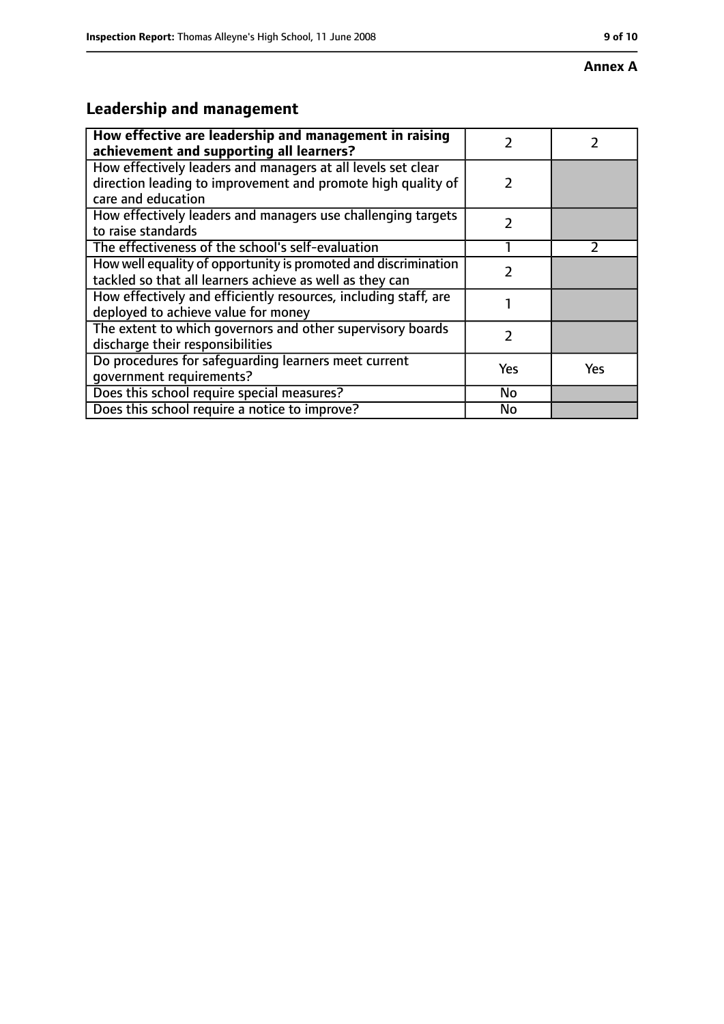### **Annex A**

# **Leadership and management**

| How effective are leadership and management in raising<br>achievement and supporting all learners?                                                 | 7             |     |
|----------------------------------------------------------------------------------------------------------------------------------------------------|---------------|-----|
| How effectively leaders and managers at all levels set clear<br>direction leading to improvement and promote high quality of<br>care and education | $\mathcal{P}$ |     |
| How effectively leaders and managers use challenging targets<br>to raise standards                                                                 | $\mathcal{P}$ |     |
| The effectiveness of the school's self-evaluation                                                                                                  |               |     |
| How well equality of opportunity is promoted and discrimination<br>tackled so that all learners achieve as well as they can                        | 7             |     |
| How effectively and efficiently resources, including staff, are<br>deployed to achieve value for money                                             |               |     |
| The extent to which governors and other supervisory boards<br>discharge their responsibilities                                                     | 7             |     |
| Do procedures for safeguarding learners meet current<br>qovernment requirements?                                                                   | Yes           | Yes |
| Does this school require special measures?                                                                                                         | No            |     |
| Does this school require a notice to improve?                                                                                                      | No            |     |